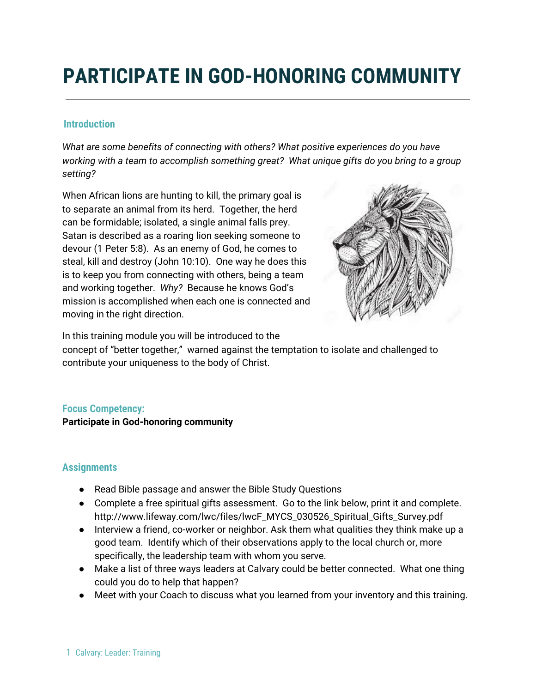# **PARTICIPATE IN GOD-HONORING COMMUNITY**

## **Introduction**

*What are some benefits of connecting with others? What positive experiences do you have working with a team to accomplish something great? What unique gifts do you bring to a group setting?*

When African lions are hunting to kill, the primary goal is to separate an animal from its herd. Together, the herd can be formidable; isolated, a single animal falls prey. Satan is described as a roaring lion seeking someone to devour (1 Peter 5:8). As an enemy of God, he comes to steal, kill and destroy (John 10:10). One way he does this is to keep you from connecting with others, being a team and working together. *Why?* Because he knows God's mission is accomplished when each one is connected and moving in the right direction.



In this training module you will be introduced to the

concept of "better together," warned against the temptation to isolate and challenged to contribute your uniqueness to the body of Christ.

#### **Focus Competency:**

**Participate in God-honoring community**

#### **Assignments**

- Read Bible passage and answer the Bible Study Questions
- Complete a free spiritual gifts assessment. Go to the link below, print it and complete. http://www.lifeway.com/lwc/files/lwcF\_MYCS\_030526\_Spiritual\_Gifts\_Survey.pdf
- Interview a friend, co-worker or neighbor. Ask them what qualities they think make up a good team. Identify which of their observations apply to the local church or, more specifically, the leadership team with whom you serve.
- Make a list of three ways leaders at Calvary could be better connected. What one thing could you do to help that happen?
- Meet with your Coach to discuss what you learned from your inventory and this training.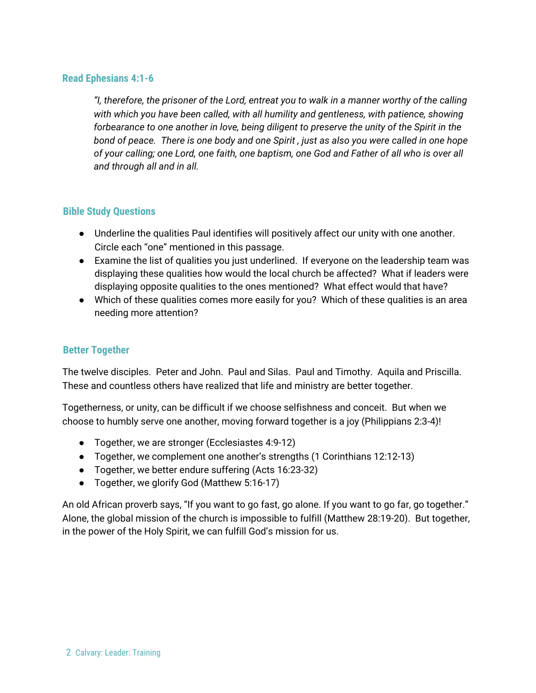#### **Read Ephesians 4:1-6**

*"I, therefore, the prisoner of the Lord, entreat you to walk in a manner worthy of the calling with which you have been called, with all humility and gentleness, with patience, showing forbearance to one another in love, being diligent to preserve the unity of the Spirit in the* bond of peace. There is one body and one Spirit, just as also you were called in one hope of your calling; one Lord, one faith, one baptism, one God and Father of all who is over all *and through all and in all.*

# **Bible Study Questions**

- Underline the qualities Paul identifies will positively affect our unity with one another. Circle each "one" mentioned in this passage.
- Examine the list of qualities you just underlined. If everyone on the leadership team was displaying these qualities how would the local church be affected? What if leaders were displaying opposite qualities to the ones mentioned? What effect would that have?
- Which of these qualities comes more easily for you? Which of these qualities is an area needing more attention?

## **Better Together**

The twelve disciples. Peter and John. Paul and Silas. Paul and Timothy. Aquila and Priscilla. These and countless others have realized that life and ministry are better together.

Togetherness, or unity, can be difficult if we choose selfishness and conceit. But when we choose to humbly serve one another, moving forward together is a joy (Philippians 2:3-4)!

- Together, we are stronger (Ecclesiastes 4:9-12)
- Together, we complement one another's strengths (1 Corinthians 12:12-13)
- Together, we better endure suffering (Acts 16:23-32)
- Together, we glorify God (Matthew 5:16-17)

An old African proverb says, "If you want to go fast, go alone. If you want to go far, go together." Alone, the global mission of the church is impossible to fulfill (Matthew 28:19-20). But together, in the power of the Holy Spirit, we can fulfill God's mission for us.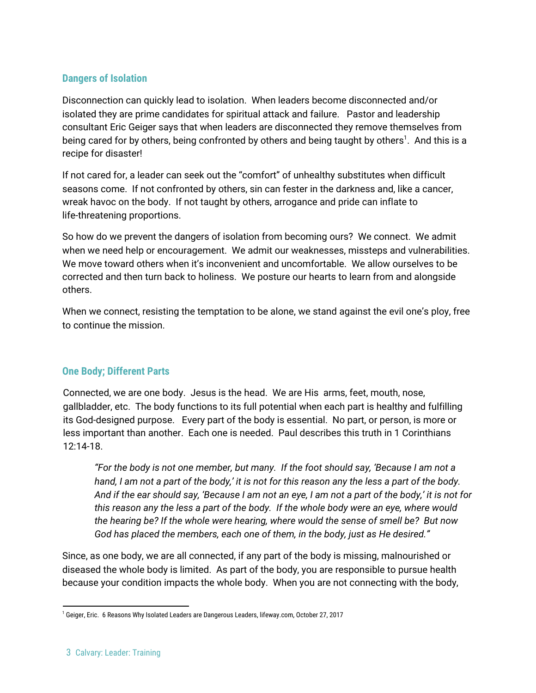## **Dangers of Isolation**

Disconnection can quickly lead to isolation. When leaders become disconnected and/or isolated they are prime candidates for spiritual attack and failure. Pastor and leadership consultant Eric Geiger says that when leaders are disconnected they remove themselves from being cared for by others, being confronted by others and being taught by others<sup>1</sup>. And this is a recipe for disaster!

If not cared for, a leader can seek out the "comfort" of unhealthy substitutes when difficult seasons come. If not confronted by others, sin can fester in the darkness and, like a cancer, wreak havoc on the body. If not taught by others, arrogance and pride can inflate to life-threatening proportions.

So how do we prevent the dangers of isolation from becoming ours? We connect. We admit when we need help or encouragement. We admit our weaknesses, missteps and vulnerabilities. We move toward others when it's inconvenient and uncomfortable. We allow ourselves to be corrected and then turn back to holiness. We posture our hearts to learn from and alongside others.

When we connect, resisting the temptation to be alone, we stand against the evil one's ploy, free to continue the mission.

# **One Body; Different Parts**

Connected, we are one body. Jesus is the head. We are His arms, feet, mouth, nose, gallbladder, etc. The body functions to its full potential when each part is healthy and fulfilling its God-designed purpose. Every part of the body is essential. No part, or person, is more or less important than another. Each one is needed. Paul describes this truth in 1 Corinthians 12:14-18.

*"For the body is not one member, but many. If the foot should say, 'Because I am not a* hand, I am not a part of the body,' it is not for this reason any the less a part of the body. And if the ear should say, 'Because I am not an eye, I am not a part of the body,' it is not for *this reason any the less a part of the body. If the whole body were an eye, where would the hearing be? If the whole were hearing, where would the sense of smell be? But now God has placed the members, each one of them, in the body, just as He desired."*

Since, as one body, we are all connected, if any part of the body is missing, malnourished or diseased the whole body is limited. As part of the body, you are responsible to pursue health because your condition impacts the whole body. When you are not connecting with the body,

 $^1$  Geiger, Eric. 6 Reasons Why Isolated Leaders are Dangerous Leaders, lifeway.com, October 27, 2017